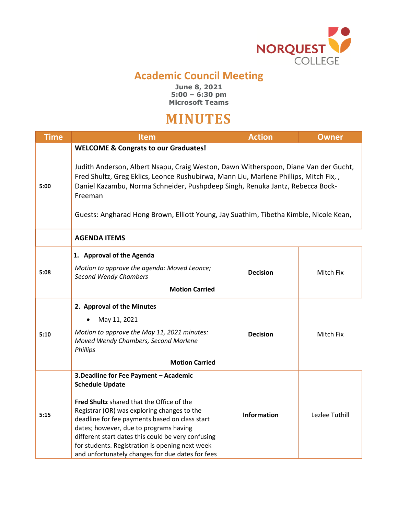

## **Academic Council Meeting**

**June 8, 2021 5:00 – 6:30 pm Microsoft Teams**

## **MINUTES**

| <b>Time</b> | <b>Item</b>                                                                                                                                                                                                                                                                                                                                                                                                           | <b>Action</b>      | <b>Owner</b>   |  |
|-------------|-----------------------------------------------------------------------------------------------------------------------------------------------------------------------------------------------------------------------------------------------------------------------------------------------------------------------------------------------------------------------------------------------------------------------|--------------------|----------------|--|
|             | <b>WELCOME &amp; Congrats to our Graduates!</b>                                                                                                                                                                                                                                                                                                                                                                       |                    |                |  |
| 5:00        | Judith Anderson, Albert Nsapu, Craig Weston, Dawn Witherspoon, Diane Van der Gucht,<br>Fred Shultz, Greg Eklics, Leonce Rushubirwa, Mann Liu, Marlene Phillips, Mitch Fix,,<br>Daniel Kazambu, Norma Schneider, Pushpdeep Singh, Renuka Jantz, Rebecca Bock-<br>Freeman<br>Guests: Angharad Hong Brown, Elliott Young, Jay Suathim, Tibetha Kimble, Nicole Kean,                                                      |                    |                |  |
|             | <b>AGENDA ITEMS</b>                                                                                                                                                                                                                                                                                                                                                                                                   |                    |                |  |
| 5:08        | 1. Approval of the Agenda<br>Motion to approve the agenda: Moved Leonce;<br><b>Second Wendy Chambers</b><br><b>Motion Carried</b>                                                                                                                                                                                                                                                                                     | <b>Decision</b>    | Mitch Fix      |  |
| 5:10        | 2. Approval of the Minutes<br>May 11, 2021<br>Motion to approve the May 11, 2021 minutes:<br>Moved Wendy Chambers, Second Marlene<br><b>Phillips</b><br><b>Motion Carried</b>                                                                                                                                                                                                                                         | <b>Decision</b>    | Mitch Fix      |  |
| 5:15        | 3. Deadline for Fee Payment - Academic<br><b>Schedule Update</b><br>Fred Shultz shared that the Office of the<br>Registrar (OR) was exploring changes to the<br>deadline for fee payments based on class start<br>dates; however, due to programs having<br>different start dates this could be very confusing<br>for students. Registration is opening next week<br>and unfortunately changes for due dates for fees | <b>Information</b> | Lezlee Tuthill |  |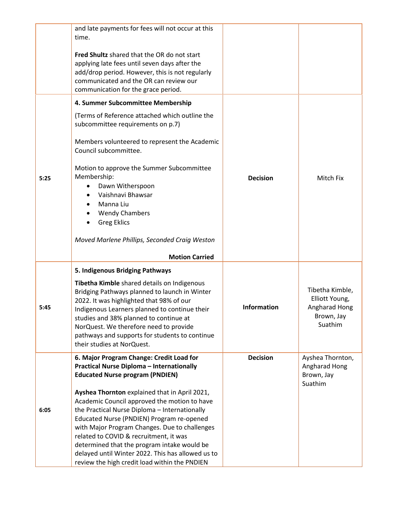|      | and late payments for fees will not occur at this<br>time.                                                                                                                                                                                                                                                                                                                                                                                  |                    |                                                                             |
|------|---------------------------------------------------------------------------------------------------------------------------------------------------------------------------------------------------------------------------------------------------------------------------------------------------------------------------------------------------------------------------------------------------------------------------------------------|--------------------|-----------------------------------------------------------------------------|
|      | Fred Shultz shared that the OR do not start<br>applying late fees until seven days after the<br>add/drop period. However, this is not regularly<br>communicated and the OR can review our<br>communication for the grace period.                                                                                                                                                                                                            |                    |                                                                             |
|      | 4. Summer Subcommittee Membership                                                                                                                                                                                                                                                                                                                                                                                                           |                    |                                                                             |
|      | (Terms of Reference attached which outline the<br>subcommittee requirements on p.7)                                                                                                                                                                                                                                                                                                                                                         |                    |                                                                             |
|      | Members volunteered to represent the Academic<br>Council subcommittee.                                                                                                                                                                                                                                                                                                                                                                      |                    |                                                                             |
| 5:25 | Motion to approve the Summer Subcommittee<br>Membership:<br>Dawn Witherspoon<br>Vaishnavi Bhawsar<br>Manna Liu<br><b>Wendy Chambers</b><br><b>Greg Eklics</b>                                                                                                                                                                                                                                                                               | <b>Decision</b>    | Mitch Fix                                                                   |
|      | Moved Marlene Phillips, Seconded Craig Weston                                                                                                                                                                                                                                                                                                                                                                                               |                    |                                                                             |
|      | <b>Motion Carried</b>                                                                                                                                                                                                                                                                                                                                                                                                                       |                    |                                                                             |
| 5:45 | 5. Indigenous Bridging Pathways<br>Tibetha Kimble shared details on Indigenous<br>Bridging Pathways planned to launch in Winter<br>2022. It was highlighted that 98% of our<br>Indigenous Learners planned to continue their<br>studies and 38% planned to continue at<br>NorQuest. We therefore need to provide<br>pathways and supports for students to continue<br>their studies at NorQuest.                                            | <b>Information</b> | Tibetha Kimble,<br>Elliott Young,<br>Angharad Hong<br>Brown, Jay<br>Suathim |
|      | 6. Major Program Change: Credit Load for<br><b>Practical Nurse Diploma - Internationally</b><br><b>Educated Nurse program (PNDIEN)</b>                                                                                                                                                                                                                                                                                                      | <b>Decision</b>    | Ayshea Thornton,<br>Angharad Hong<br>Brown, Jay<br>Suathim                  |
| 6:05 | Ayshea Thornton explained that in April 2021,<br>Academic Council approved the motion to have<br>the Practical Nurse Diploma - Internationally<br>Educated Nurse (PNDIEN) Program re-opened<br>with Major Program Changes. Due to challenges<br>related to COVID & recruitment, it was<br>determined that the program intake would be<br>delayed until Winter 2022. This has allowed us to<br>review the high credit load within the PNDIEN |                    |                                                                             |